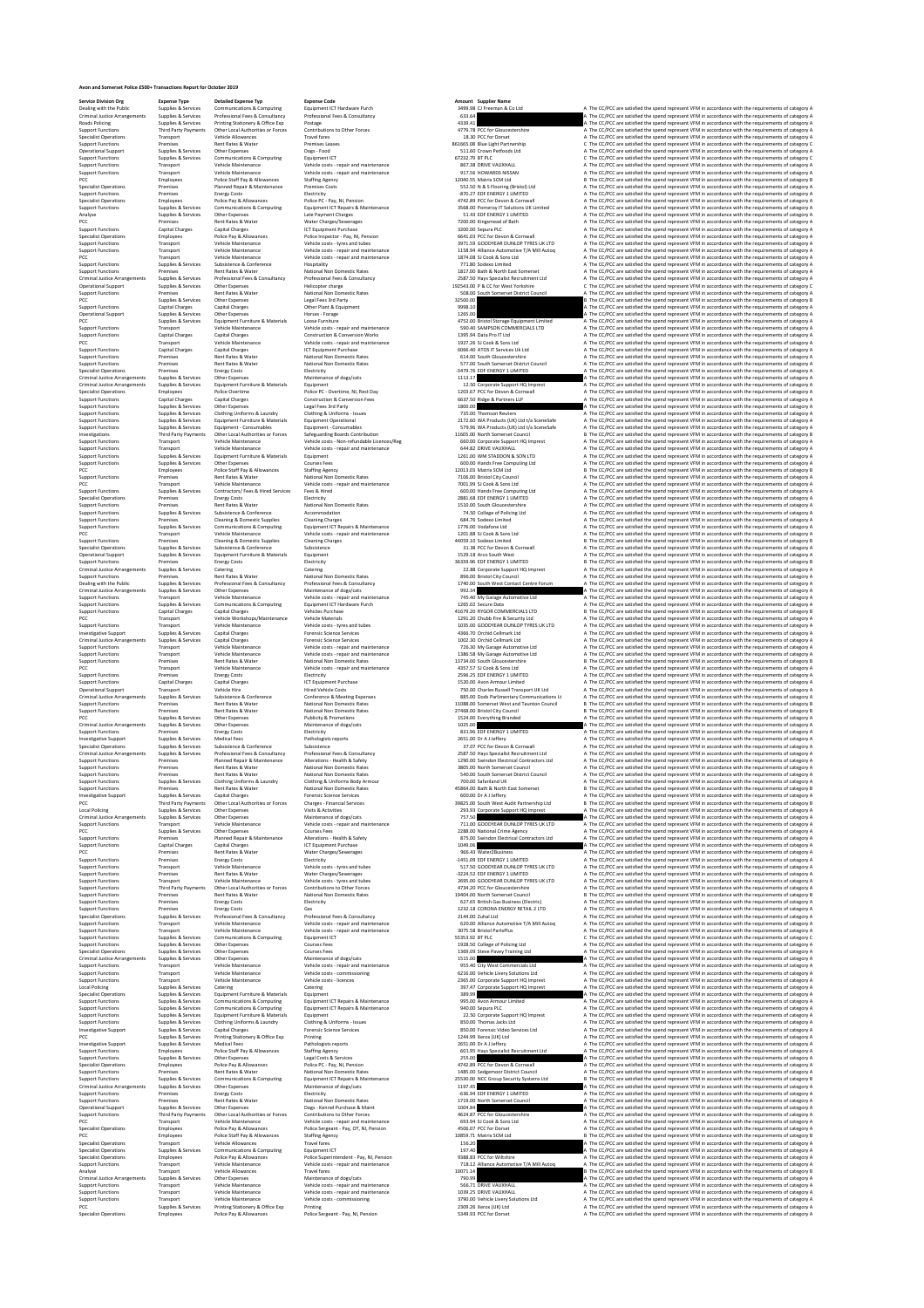**Avon and Somerset Police £500+ Transactions Report Forms**<br> **Consider Police Explicit Supplies & Services**<br> **Consider Police Explicit Supplies & Services**<br> **Report Functions**<br> **Consider 2019**<br> **Consider 2019**<br> **Consider 20** 

**Service Division Org Expense Type Detailed Expense Typ Expense Code Amount Supplier Name**

Dealing with the Public Supplies & Services Communications & Computing Equipment ICT Hardware Purch 3499.98 CJ Freeman & Co Ltd A The CC/PCC are satisfied the spend represent VFM in accordance with the requirements of category A Criminal Justice Arrangements Supplies & Services Professional Fees & Consultancy Professional Fees & Consultancy 633.64 A The CC/PCC are satisfied the spend represent VFM in accordance with the requirements of category A Roads Policing Supplies & Services Printing Stationery & Office Exp Postage 4339.41 A The CC/PCC are satisfied the spend represent VFM in accordance with the requirements of category A Support Functions Third Party Payments Other Local Authorities or Forces Contributions to Other Forces 4779.78 PCC for Gloucestershire A The CC/PCC are satisfied the spend represent VFM in accordance with the requirements of category A Specialist Operations Transport Vehicle Allowances Travel fares 18.30 PCC for Dorset A The CC/PCC are satisfied the spend represent VFM in accordance with the requirements of category A Support Functions Premises Rent Rates & Water Premises Leases 861665.08 Blue Light Partnership C The CC/PCC are satisfied the spend represent VFM in accordance with the requirements of category C Operational Support Supplies & Services Other Expenses Dogs ‐ Food 511.60 Crown Petfoods Ltd A The CC/PCC are satisfied the spend represent VFM in accordance with the requirements of category A Support Functions Supplies & Services Communications & Computing Equipment ICT 67232.79 BT PLC C The CC/PCC are satisfied the spend represent VFM in accordance with the requirements of category C Support Functions Transport Vehicle Maintenance Vehicle costs ‐ repair and maintenance 867.38 DRIVE VAUXHALL A The CC/PCC are satisfied the spend represent VFM in accordance with the requirements of category A Support Functions Transport Vehicle Maintenance Vehicle costs ‐ repair and maintenance 917.56 HOWARDS NISSAN A The CC/PCC are satisfied the spend represent VFM in accordance with the requirements of category A PCC Employees Police Staff Pay & Allowances Staffing Agency 12040.55 Matrix SCM Ltd B The CC/PCC are satisfied the spend represent VFM in accordance with the requirements of category B Specialist Operations Premises Planned Repair & Maintenance Premises Costs 552.50 N & S Flooring (Bristol) Ltd A The CC/PCC are satisfied the spend represent VFM in accordance with the requirements of category A Support Functions Premises Energy Costs Electricity ‐870.27 EDF ENERGY 1 LIMITED A The CC/PCC are satisfied the spend represent VFM in accordance with the requirements of category A Specialist Operations Employees Police Pay & Allowances Police PC ‐ Pay, NI, Pension 4742.89 PCC for Devon & Cornwall A The CC/PCC are satisfied the spend represent VFM in accordance with the requirements of category A Support Functions Supplies & Services Communications & Computing Equipment ICT Repairs & Maintenance 3568.00 Pomeroy IT Solutions UK Limited A The CC/PCC are satisfied the spend represent VFM in accordance with the requirements of category A Analyse Supplies & Services Other Expenses Late Payment Charges 51.43 EDF ENERGY 1 LIMITED A The CC/PCC are satisfied the spend represent VFM in accordance with the requirements of category A PCC Premises Rent Rates & Water Water Charges/Sewerages 7200.00 Kingsmead of Bath A The CC/PCC are satisfied the spend represent VFM in accordance with the requirements of category A Support Functions Capital Charges Capital Charges ICT Equipment Purchase 3200.00 Sepura PLC A The CC/PCC are satisfied the spend represent VFM in accordance with the requirements of category A Specialist Operations Employees Police Pay & Allowances Police Inspector ‐ Pay, NI, Pension 6641.03 PCC for Devon & Cornwall A The CC/PCC are satisfied the spend represent VFM in accordance with the requirements of category A Support Functions Transport Vehicle Maintenance Vehicle costs ‐ tyres and tubes 3971.59 GOODYEAR DUNLOP TYRES UK LTD A The CC/PCC are satisfied the spend represent VFM in accordance with the requirements of category A Support Functions Transport Vehicle Maintenance Vehicle costs ‐ repair and maintenance 1158.94 Alliance Automotive T/A Mill Autoq A The CC/PCC are satisfied the spend represent VFM in accordance with the requirements of category A PCC Transport Vehicle Maintenance Vehicle costs ‐ repair and maintenance 1874.08 SJ Cook & Sons Ltd A The CC/PCC are satisfied the spend represent VFM in accordance with the requirements of category A Support Functions Supplies & Services Subsistence & Conference Hospitality 771.80 Sodexo Limited A The CC/PCC are satisfied the spend represent VFM in accordance with the requirements of category A Support Functions Premises Rent Rates & Water National Non Domestic Rates 1817.00 Bath & North East Somerset A The CC/PCC are satisfied the spend represent VFM in accordance with the requirements of category A Criminal Justice Arrangements Supplies & Services Professional Fees & Consultancy Professional Fees & Consultancy 2587.50 Hays Specialist Recruitment Ltd A The CC/PCC are satisfied the spend represent VFM in accordance with the requirements of category A Operational Support Supplies & Services Other Expenses Helicopter charge 192543.00 P & CC for West Yorkshire C The CC/PCC are satisfied the spend represent VFM in accordance with the requirements of category C Support Functions Premises Rent Rates & Water National Non Domestic Rates 508.00 South Somerset District Council A The CC/PCC are satisfied the spend represent VFM in accordance with the requirements of category A PCC Supplies & Services Other Expenses Legal Fees 3rd Party 32500.00 B The CC/PCC are satisfied the spend represent VFM in accordance with the requirements of category B Support Functions Capital Charges Capital Charges Other Plant & Equipment 9998.10 A The CC/PCC are satisfied the spend represent VFM in accordance with the requirements of category A Operational Support Supplies & Services Other Expenses Horses ‐ Forage 1265.00 A The CC/PCC are satisfied the spend represent VFM in accordance with the requirements of category A PCC Supplies & Services Equipment Furniture & Materials Loose Furniture 4752.00 Bristol Storage Equipment Limited A The CC/PCC are satisfied the spend represent VFM in accordance with the requirements of category A Support Functions Transport Vehicle Maintenance Vehicle costs ‐ repair and maintenance 590.40 SAMPSON COMMERCIALS LTD A The CC/PCC are satisfied the spend represent VFM in accordance with the requirements of category A Support Functions Capital Charges Capital Charges Construction & Conversion Works 1395.94 Data Pro IT Ltd A The CC/PCC are satisfied the spend represent VFM in accordance with the requirements of category A PCC Transport Vehicle Maintenance Vehicle costs ‐ repair and maintenance 1927.26 SJ Cook & Sons Ltd A The CC/PCC are satisfied the spend represent VFM in accordance with the requirements of category A Support Functions Capital Charges Capital Charges ICT Equipment Purchase 6066.40 ATOS IT Services Uk Ltd A The CC/PCC are satisfied the spend represent VFM in accordance with the requirements of category A Support Functions Premises Rent Rates & Water National Non Domestic Rates 614.00 South Gloucestershire A The CC/PCC are satisfied the spend represent VFM in accordance with the requirements of category A Support Functions Premises Rent Rates & Water National Non Domestic Rates 577.00 South Somerset District Council A The CC/PCC are satisfied the spend represent VFM in accordance with the requirements of category A Specialist Operations Premises Energy Costs Electricity ‐3479.76 EDF ENERGY 1 LIMITED A The CC/PCC are satisfied the spend represent VFM in accordance with the requirements of category A Criminal Justice Arrangements Supplies & Services Other Expenses Maintenance of dogs/cats 1113.17 A The CC/PCC are satisfied the spend represent VFM in accordance with the requirements of category A Criminal Justice Arrangements Supplies & Services Equipment Furniture & Materials Equipment 12.50 Corporate Support HQ Imprest A The CC/PCC are satisfied the spend represent VFM in accordance with the requirements of category A Specialist Operations Employees Police Overtime Police PC ‐ Overtime, NI, Rest Day 1203.67 PCC for Devon & Cornwall A The CC/PCC are satisfied the spend represent VFM in accordance with the requirements of category A Support Functions Capital Charges Capital Charges Construction & Conversion Fees 6637.50 Ridge & Partners LLP A The CC/PCC are satisfied the spend represent VFM in accordance with the requirements of category A Support Functions Supplies & Services Other Expenses Legal Fees 3rd Party 1800.00 A The CC/PCC are satisfied the spend represent VFM in accordance with the requirements of category A Support Functions Supplies & Services Clothing Uniforms & Laundry Clothing & Uniforms ‐ Issues 735.00 Thomson Reuters A The CC/PCC are satisfied the spend represent VFM in accordance with the requirements of category A Support Functions Supplies & Services Equipment Furniture & Materials Equipment Operational 2172.60 WA Products (UK) Ltd t/a SceneSafe A The CC/PCC are satisfied the spend represent VFM in accordance with the requirements of category A Support Functions Supplies & Services Equipment ‐ Consumables Equipment ‐ Consumables 579.96 WA Products (UK) Ltd t/a SceneSafe A The CC/PCC are satisfied the spend represent VFM in accordance with the requirements of category A Investigations Third Party Payments Other Local Authorities or Forces Safeguarding Boards Contribution 11605.00 North Somerset Council B The CC/PCC are satisfied the spend represent VFM in accordance with the requirements of category B Support Functions Transport Vehicle Maintenance Vehicle costs ‐ Non‐refundable Licences/Reg 660.00 Corporate Support HQ Imprest A The CC/PCC are satisfied the spend represent VFM in accordance with the requirements of category A Support Functions Transport Vehicle Maintenance Vehicle costs ‐ repair and maintenance 644.82 DRIVE VAUXHALL A The CC/PCC are satisfied the spend represent VFM in accordance with the requirements of category A Support Functions Supplies & Services Equipment Furniture & Materials Equipment 1261.00 WM STADDON & SON LTD A The CC/PCC are satisfied the spend represent VFM in accordance with the requirements of category A Support Functions Supplies & Services Other Expenses Courses Fees 600.00 Hands Free Computing Ltd A The CC/PCC are satisfied the spend represent VFM in accordance with the requirements of category A PCC Employees Police Staff Pay & Allowances Staffing Agency 12013.03 Matrix SCM Ltd B The CC/PCC are satisfied the spend represent VFM in accordance with the requirements of category B Support Functions Premises Rent Rates & Water National Non Domestic Rates 7106.00 Bristol City Council A The CC/PCC are satisfied the spend represent VFM in accordance with the requirements of category A PCC Transport Vehicle Maintenance Vehicle costs ‐ repair and maintenance 7001.99 SJ Cook & Sons Ltd A The CC/PCC are satisfied the spend represent VFM in accordance with the requirements of category A Support Functions Supplies & Services Contractors/ Fees & Hired Services Fees & Hired 600.00 Hands Free Computing Ltd A The CC/PCC are satisfied the spend represent VFM in accordance with the requirements of category A Specialist Operations Premises Energy Costs Electricity 2881.68 EDF ENERGY 1 LIMITED A The CC/PCC are satisfied the spend represent VFM in accordance with the requirements of category A Support Functions Premises Rent Rates & Water National Non Domestic Rates 1510.00 South Gloucestershire A The CC/PCC are satisfied the spend represent VFM in accordance with the requirements of category A Support Functions Supplies & Services Subsistence & Conference Accommodation 74.50 College of Policing Ltd A The CC/PCC are satisfied the spend represent VFM in accordance with the requirements of category A Support Functions Premises Cleaning & Domestic Supplies Cleaning Charges 684.76 Sodexo Limited A The CC/PCC are satisfied the spend represent VFM in accordance with the requirements of category A Support Functions Supplies & Services Communications & Computing Equipment ICT Repairs & Maintenance 1776.00 Vodafone Ltd A The CC/PCC are satisfied the spend represent VFM in accordance with the requirements of category A PCC Transport Vehicle Maintenance Vehicle costs ‐ repair and maintenance 1201.88 SJ Cook & Sons Ltd A The CC/PCC are satisfied the spend represent VFM in accordance with the requirements of category A Support Functions Premises Cleaning & Domestic Supplies Cleaning Charges 44059.10 Sodexo Limited B The CC/PCC are satisfied the spend represent VFM in accordance with the requirements of category B Specialist Operations Supplies & Services Subsistence & Conference Subsistence 31.38 PCC for Devon & Cornwall A The CC/PCC are satisfied the spend represent VFM in accordance with the requirements of category A Operational Support Supplies & Services Equipment Furniture & Materials Equipment 1529.18 Arco South West A The CC/PCC are satisfied the spend represent VFM in accordance with the requirements of category A Support Functions Premises Energy Costs Electricity 36339.96 EDF ENERGY 1 LIMITED B The CC/PCC are satisfied the spend represent VFM in accordance with the requirements of category B Criminal Justice Arrangements Supplies & Services Catering Catering 22.88 Corporate Support HQ Imprest A The CC/PCC are satisfied the spend represent VFM in accordance with the requirements of category A Support Functions Premises Rent Rates & Water National Non Domestic Rates 896.00 Bristol City Council A The CC/PCC are satisfied the spend represent VFM in accordance with the requirements of category A Dealing with the Public Supplies & Services Professional Fees & Consultancy Professional Fees & Consultancy 1740.00 South West Contact Centre Forum A The CC/PCC are satisfied the spend represent VFM in accordance with the requirements of category A Criminal Justice Arrangements Supplies & Services Other Expenses Maintenance of dogs/cats 992.34 A The CC/PCC are satisfied the spend represent VFM in accordance with the requirements of category A Support Functions Transport Vehicle Maintenance Vehicle costs ‐ repair and maintenance 745.40 My Garage Automotive Ltd A The CC/PCC are satisfied the spend represent VFM in accordance with the requirements of category A Support Functions Supplies & Services Communications & Computing Equipment ICT Hardware Purch 1265.02 Secure Data A The CC/PCC are satisfied the spend represent VFM in accordance with the requirements of category A Support Functions Capital Charges Capital Charges Vehicles Purchase 41679.20 RYGOR COMMERCIALS LTD B The CC/PCC are satisfied the spend represent VFM in accordance with the requirements of category B PCC Transport Vehicle Workshops/Maintenance Vehicle Materials 1291.20 Chubb Fire & Security Ltd A The CC/PCC are satisfied the spend represent VFM in accordance with the requirements of category A Support Functions Transport Vehicle Maintenance Vehicle costs ‐ tyres and tubes 1035.00 GOODYEAR DUNLOP TYRES UK LTD A The CC/PCC are satisfied the spend represent VFM in accordance with the requirements of category A Investigative Support Supplies & Services Capital Charges Forensic Science Services 4366.70 Orchid Cellmark Ltd A The CC/PCC are satisfied the spend represent VFM in accordance with the requirements of category A Criminal Justice Arrangements Supplies & Services Capital Charges Forensic Science Services 1002.30 Orchid Cellmark Ltd A The CC/PCC are satisfied the spend represent VFM in accordance with the requirements of category A Support Functions Transport Vehicle Maintenance Vehicle costs ‐ repair and maintenance 726.30 My Garage Automotive Ltd A The CC/PCC are satisfied the spend represent VFM in accordance with the requirements of category A Support Functions Transport Vehicle Maintenance Vehicle costs ‐ repair and maintenance 1386.58 My Garage Automotive Ltd A The CC/PCC are satisfied the spend represent VFM in accordance with the requirements of category A Support Functions Premises Rent Rates & Water National Non Domestic Rates 13734.00 South Gloucestershire B The CC/PCC are satisfied the spend represent VFM in accordance with the requirements of category B PCC Transport Vehicle Maintenance Vehicle costs ‐ repair and maintenance 4357.57 SJ Cook & Sons Ltd A The CC/PCC are satisfied the spend represent VFM in accordance with the requirements of category A Support Functions Premises Energy Costs Electricity 2596.25 EDF ENERGY 1 LIMITED A The CC/PCC are satisfied the spend represent VFM in accordance with the requirements of category A Support Functions Capital Charges Capital Charges ICT Equipment Purchase 1520.00 Avon Armour Limited A The CC/PCC are satisfied the spend represent VFM in accordance with the requirements of category A Operational Support Transport Vehicle Hire Hired Vehicle Costs 750.00 Charles Russell Transport UK Ltd A The CC/PCC are satisfied the spend represent VFM in accordance with the requirements of category A Criminal Justice Arrangements Supplies & Services Subsistence & Conference Conference & Meeting Expenses 885.00 Dods Parlimentary Communications Lt A The CC/PCC are satisfied the spend represent VFM in accordance with the requirements of category A Support Functions Premises Rent Rates & Water National Non Domestic Rates 11088.00 Somerset West and Taunton Council B The CC/PCC are satisfied the spend represent VFM in accordance with the requirements of category B Support Functions Premises Rent Rates & Water National Non Domestic Rates 27468.00 Bristol City Council B The CC/PCC are satisfied the spend represent VFM in accordance with the requirements of category B PCC Supplies & Services Other Expenses Publicity & Promotions 1524.00 Everything Branded A The CC/PCC are satisfied the spend represent VFM in accordance with the requirements of category A Criminal Justice Arrangements Supplies & Services Other Expenses Maintenance of dogs/cats 1025.00 A The CC/PCC are satisfied the spend represent VFM in accordance with the requirements of category A Support Functions Premises Energy Costs Electricity 831.96 EDF ENERGY 1 LIMITED A The CC/PCC are satisfied the spend represent VFM in accordance with the requirements of category A Investigative Support Supplies & Services Medical Fees Pathologists reports 2651.00 Dr A J Jeffery A The CC/PCC are satisfied the spend represent VFM in accordance with the requirements of category A Specialist Operations Supplies & Services Subsistence & Conference Subsistence 37.07 PCC for Devon & Cornwall A The CC/PCC are satisfied the spend represent VFM in accordance with the requirements of category A Criminal Justice Arrangements Supplies & Services Professional Fees & Consultancy Professional Fees & Consultancy 2587.50 Hays Specialist Recruitment Ltd A The CC/PCC are satisfied the spend represent VFM in accordance with the requirements of category A Support Functions Premises Planned Repair & Maintenance Alterations ‐ Health & Safety 1290.00 Swindon Electrical Contractors Ltd A The CC/PCC are satisfied the spend represent VFM in accordance with the requirements of category A Support Functions Premises Rent Rates & Water National Non Domestic Rates 3805.00 North Somerset Council A The CC/PCC are satisfied the spend represent VFM in accordance with the requirements of category A Support Functions Premises Rent Rates & Water National Non Domestic Rates 540.00 South Somerset District Council A The CC/PCC are satisfied the spend represent VFM in accordance with the requirements of category A Support Functions Supplies & Services Clothing Uniforms & Laundry Clothing & Uniforms Body Armour 700.00 Safariland UK A The CC/PCC are satisfied the spend represent VFM in accordance with the requirements of category A Support Functions Premises Rent Rates & Water National Non Domestic Rates 45864.00 Bath & North East Somerset B The CC/PCC are satisfied the spend represent VFM in accordance with the requirements of category B Investigative Support Supplies & Services Capital Charges Forensic Science Services 600.00 Dr A J Jeffery A The CC/PCC are satisfied the spend represent VFM in accordance with the requirements of category A PCC Third Party Payments Other Local Authorities or Forces Charges ‐ Financial Services 39825.00 South West Audit Partnership Ltd B The CC/PCC are satisfied the spend represent VFM in accordance with the requirements of category B Local Policing Supplies & Services Other Expenses Visits & Activities 293.93 Corporate Support HQ Imprest A The CC/PCC are satisfied the spend represent VFM in accordance with the requirements of category A Criminal Justice Arrangements Supplies & Services Other Expenses Maintenance of dogs/cats 757.50 A The CC/PCC are satisfied the spend represent VFM in accordance with the requirements of category A Support Functions Transport Vehicle Maintenance Vehicle costs ‐ repair and maintenance 711.00 GOODYEAR DUNLOP TYRES UK LTD A The CC/PCC are satisfied the spend represent VFM in accordance with the requirements of category A PCC Supplies & Services Other Expenses Courses Fees 2288.00 National Crime Agency A The CC/PCC are satisfied the spend represent VFM in accordance with the requirements of category A Support Functions Premises Planned Repair & Maintenance Alterations ‐ Health & Safety 875.00 Swindon Electrical Contractors Ltd A The CC/PCC are satisfied the spend represent VFM in accordance with the requirements of category A Support Functions Capital Charges Capital Charges ICT Equipment Purchase 1049.06 A The CC/PCC are satisfied the spend represent VFM in accordance with the requirements of category A PCC Premises Rent Rates & Water Water Charges/Sewerages 966.43 Water2Business A The CC/PCC are satisfied the spend represent VFM in accordance with the requirements of category A Support Functions Premises Energy Costs Electricity ‐1451.09 EDF ENERGY 1 LIMITED A The CC/PCC are satisfied the spend represent VFM in accordance with the requirements of category A Support Functions Transport Vehicle Maintenance Vehicle costs ‐ tyres and tubes 517.50 GOODYEAR DUNLOP TYRES UK LTD A The CC/PCC are satisfied the spend represent VFM in accordance with the requirements of category A  $\textsc{Support Functions}\footnotesize \begin{tabular}{c|c|c|c} \textbf{F} & \textbf{P} & \textbf{M} & \textbf{M} & \textbf{M} & \textbf{M} & \textbf{M} & \textbf{M} & \textbf{M} & \textbf{M} & \textbf{M} & \textbf{M} & \textbf{M} & \textbf{M} & \textbf{M} & \textbf{M} & \textbf{M} & \textbf{M} & \textbf{M} & \textbf{M} & \textbf{M} & \textbf{M} & \textbf{M} & \textbf{M} & \textbf{M} & \textbf{M} & \textbf{M} & \textbf{M} &$  $\begin{tabular}{|c|c|c|c|c|c|c|c} \hline & $\lambda_{12}\&\lambda_{23}\&\lambda_{34}\&\lambda_{45}\&\lambda_{56}\&\lambda_{66}\&\lambda_{67}\&\lambda_{67}\&\lambda_{68}\&\lambda_{67}\&\lambda_{67}\&\lambda_{67}\&\lambda_{67}\&\lambda_{67}\&\lambda_{67}\&\lambda_{67}\&\lambda_{67}\&\lambda_{67}\&\lambda_{67}\&\lambda_{67}\&\lambda_{67}\&\lambda_{67}\&\lambda_{67}\&\lambda_{67}\&\lambda_{67}\&\lambda_{67}\&\lambda_{67}\&\lambda_{6$ %Dupped the end of the content and the term of the term of the term of the term of the term of the term of the term of the term of the term of the term of the term of the term of the term of the term of the term of the ter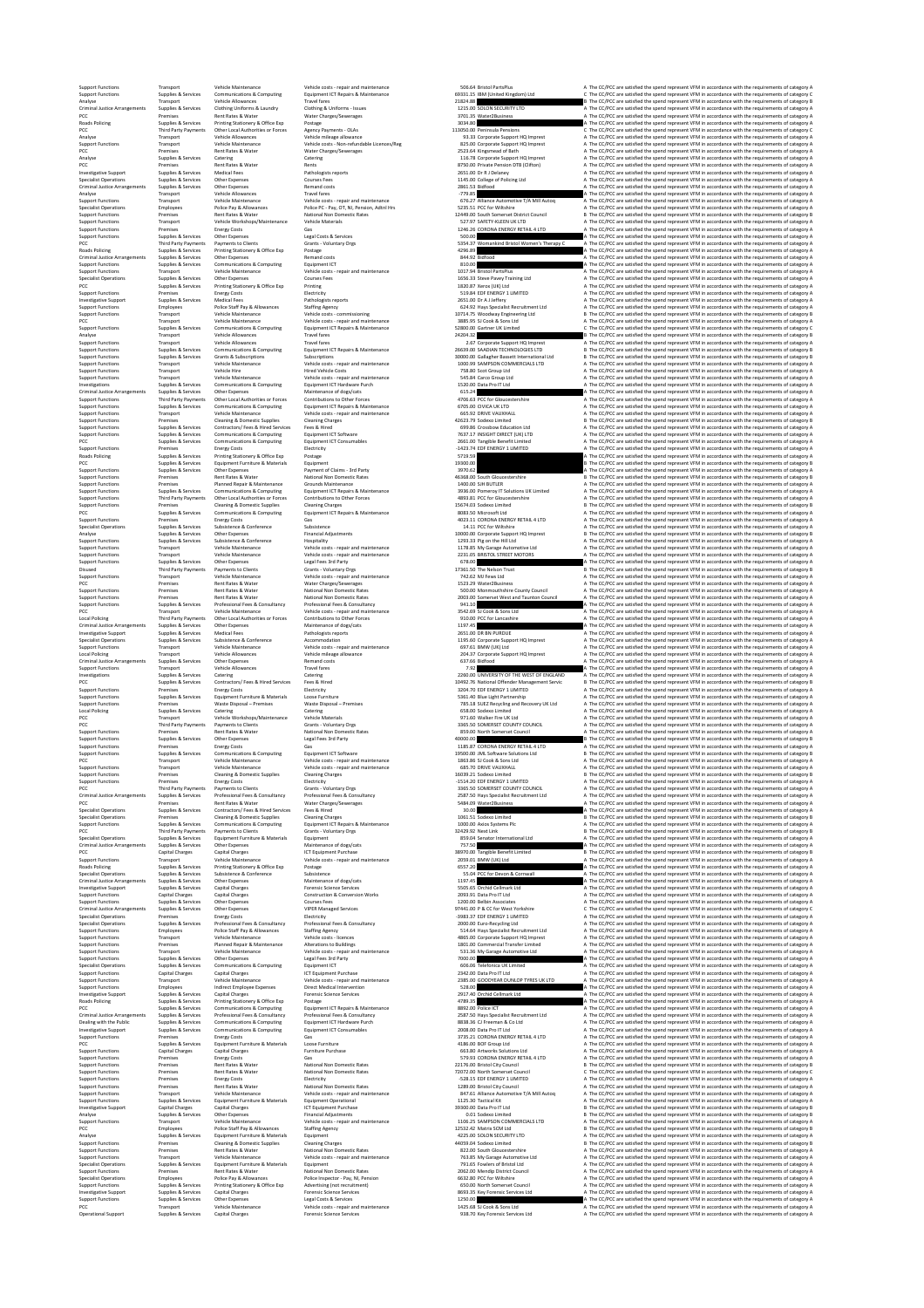Operational Support Supplies & Services Capital Charges Forensic Science Services Provinces Services 938.70 Key Forensic Services Ltd A The CC/PCC are satisfied the spend represent VFM in accordance with the requirements o

Support Functions Transport Vehicle Maintenance Vehicle costs ‐ repair and maintenance 506.64 Bristol PartsPlus A The CC/PCC are satisfied the spend represent VFM in accordance with the requirements of category A Support Functions Supplies & Services Communications & Computing Equipment ICT Repairs & Maintenance 69331.15 IBM (United Kingdom) Ltd C The CC/PCC are satisfied the spend represent VFM in accordance with the requirements of category C Analyse Transport Vehicle Allowances Travel fares 21824.88 B The CC/PCC are satisfied the spend represent VFM in accordance with the requirements of category B Criminal Justice Arrangements Supplies & Services Clothing Uniforms & Laundry Clothing & Uniforms ‐ Issues 1215.00 SOLON SECURITY LTD A The CC/PCC are satisfied the spend represent VFM in accordance with the requirements of category A PCC Premises Rent Rates & Water Water Charges/Sewerages 3701.35 Water2Business A The CC/PCC are satisfied the spend represent VFM in accordance with the requirements of category A Roads Policing Supplies & Services Printing Stationery & Office Exp Postage 3034.80 A The CC/PCC are satisfied the spend represent VFM in accordance with the requirements of category A PCC Third Party Payments Other Local Authorities or Forces Agency Payments ‐ OLAs 113050.00 Peninsula Pensions C The CC/PCC are satisfied the spend represent VFM in accordance with the requirements of category C Analyse Transport Vehicle Allowances Vehicle mileage allowance 93.33 Corporate Support HQ Imprest A The CC/PCC are satisfied the spend represent VFM in accordance with the requirements of category A Support Functions Transport Vehicle Maintenance Vehicle costs ‐ Non‐refundable Licences/Reg 825.00 Corporate Support HQ Imprest A The CC/PCC are satisfied the spend represent VFM in accordance with the requirements of category A PCC Premises Rent Rates & Water Water Charges/Sewerages 2523.64 Kingsmead of Bath A The CC/PCC are satisfied the spend represent VFM in accordance with the requirements of category A Analyse Supplies & Services Catering Catering 116.78 Corporate Support HQ Imprest A The CC/PCC are satisfied the spend represent VFM in accordance with the requirements of category A PCC Premises Rent Rates & Water Rents 8750.00 Private Pension DTB (Clifton) A The CC/PCC are satisfied the spend represent VFM in accordance with the requirements of category A Investigative Support Supplies & Services Medical Fees Pathologists reports 2651.00 Dr R J Delaney A The CC/PCC are satisfied the spend represent VFM in accordance with the requirements of category A Specialist Operations Supplies & Services Other Expenses Courses Fees 1145.00 College of Policing Ltd A The CC/PCC are satisfied the spend represent VFM in accordance with the requirements of category A Criminal Justice Arrangements Supplies & Services Other Expenses Remand costs 2861.53 Bidfood A The CC/PCC are satisfied the spend represent VFM in accordance with the requirements of category A Analyse Transport Vehicle Allowances Travel fares ‐779.85 A The CC/PCC are satisfied the spend represent VFM in accordance with the requirements of category A Support Functions Transport Vehicle Maintenance Vehicle costs ‐ repair and maintenance 676.27 Alliance Automotive T/A Mill Autoq A The CC/PCC are satisfied the spend represent VFM in accordance with the requirements of category A Specialist Operations Employees Police Pay & Allowances Police PC ‐ Pay, OT, NI, Pension, Adtnl Hrs 5235.51 PCC for Wiltshire A The CC/PCC are satisfied the spend represent VFM in accordance with the requirements of category A Support Functions Premises Rent Rates & Water National Non Domestic Rates 12449.00 South Somerset District Council B The CC/PCC are satisfied the spend represent VFM in accordance with the requirements of category B Support Functions Transport Vehicle Workshops/Maintenance Vehicle Materials 527.97 SAFETY‐KLEEN UK LTD A The CC/PCC are satisfied the spend represent VFM in accordance with the requirements of category A Support Functions Premises Energy Costs Gas 1246.26 CORONA ENERGY RETAIL 4 LTD A The CC/PCC are satisfied the spend represent VFM in accordance with the requirements of category A Support Functions Supplies & Services Other Expenses Legal Costs & Services 500.00 A The CC/PCC are satisfied the spend represent VFM in accordance with the requirements of category A PCC Third Party Payments Payments to Clients Grants ‐ Voluntary Orgs 5354.37 Womankind Bristol Women's Therapy C A The CC/PCC are satisfied the spend represent VFM in accordance with the requirements of category A Roads Policing Supplies & Services Printing Stationery & Office Exp Postage 4296.89 A The CC/PCC are satisfied the spend represent VFM in accordance with the requirements of category A Criminal Justice Arrangements Supplies & Services Other Expenses Remand costs 844.92 Bidfood A The CC/PCC are satisfied the spend represent VFM in accordance with the requirements of category A Support Functions Supplies & Services Communications & Computing Equipment ICT 810.00 A The CC/PCC are satisfied the spend represent VFM in accordance with the requirements of category A Support Functions Transport Vehicle Maintenance Vehicle costs ‐ repair and maintenance 1017.94 Bristol PartsPlus A The CC/PCC are satisfied the spend represent VFM in accordance with the requirements of category A Specialist Operations Supplies & Services Other Expenses Courses Fees 1656.33 Steve Pavey Training Ltd A The CC/PCC are satisfied the spend represent VFM in accordance with the requirements of category A PCC Supplies & Services Printing Stationery & Office Exp Printing 1820.87 Xerox (UK) Ltd A The CC/PCC are satisfied the spend represent VFM in accordance with the requirements of category A Support Functions Premises Energy Costs Electricity 519.84 EDF ENERGY 1 LIMITED A The CC/PCC are satisfied the spend represent VFM in accordance with the requirements of category A Investigative Support Supplies & Services Medical Fees Pathologists reports 2651.00 Dr A J Jeffery A The CC/PCC are satisfied the spend represent VFM in accordance with the requirements of category A Support Functions Employees Police Staff Pay & Allowances Staffing Agency 624.92 Hays Specialist Recruitment Ltd A The CC/PCC are satisfied the spend represent VFM in accordance with the requirements of category A Support Functions Transport Vehicle Maintenance Vehicle costs ‐ commissioning 10714.75 Woodway Engineering Ltd B The CC/PCC are satisfied the spend represent VFM in accordance with the requirements of category B PCC Transport Vehicle Maintenance Vehicle costs ‐ repair and maintenance 3885.95 SJ Cook & Sons Ltd A The CC/PCC are satisfied the spend represent VFM in accordance with the requirements of category A Support Functions Supplies & Services Communications & Computing Equipment ICT Repairs & Maintenance 52800.00 Gartner UK Limited C The CC/PCC are satisfied the spend represent VFM in accordance with the requirements of category C Analyse Transport Vehicle Allowances Travel fares 24204.32 B The CC/PCC are satisfied the spend represent VFM in accordance with the requirements of category B Support Functions Transport Vehicle Allowances Travel fares 2.67 Corporate Support HQ Imprest A The CC/PCC are satisfied the spend represent VFM in accordance with the requirements of category A Support Functions Supplies & Services Communications & Computing Equipment ICT Repairs & Maintenance 26639.00 SAADIAN TECHNOLOGIES LTD B The CC/PCC are satisfied the spend represent VFM in accordance with the requirements of category B Support Functions Supplies & Services Grants & Subscriptions Subscriptions 30000.00 Gallagher Bassett International Ltd B The CC/PCC are satisfied the spend represent VFM in accordance with the requirements of category B Support Functions Transport Vehicle Maintenance Vehicle costs ‐ repair and maintenance 1000.99 SAMPSON COMMERCIALS LTD A The CC/PCC are satisfied the spend represent VFM in accordance with the requirements of category A Support Functions Transport Vehicle Hire Hired Vehicle Costs 758.80 Scot Group Ltd A The CC/PCC are satisfied the spend represent VFM in accordance with the requirements of category A Support Functions Transport Vehicle Maintenance Vehicle costs ‐ repair and maintenance 545.84 Carco Group Ltd A The CC/PCC are satisfied the spend represent VFM in accordance with the requirements of category A Investigations Supplies & Services Communications & Computing Equipment ICT Hardware Purch 1520.00 Data Pro IT Ltd A The CC/PCC are satisfied the spend represent VFM in accordance with the requirements of category A Criminal Justice Arrangements Supplies & Services Other Expenses Maintenance of dogs/cats 615.24 A The CC/PCC are satisfied the spend represent VFM in accordance with the requirements of category A Support Functions Third Party Payments Other Local Authorities or Forces Contributions to Other Forces 4706.63 PCC for Gloucestershire A The CC/PCC are satisfied the spend represent VFM in accordance with the requirements of category A Support Functions Supplies & Services Communications & Computing Equipment ICT Repairs & Maintenance 6705.00 CIVICA UK LTD A The CC/PCC are satisfied the spend represent VFM in accordance with the requirements of category A Support Functions Transport Vehicle Maintenance Vehicle costs ‐ repair and maintenance 665.92 DRIVE VAUXHALL A The CC/PCC are satisfied the spend represent VFM in accordance with the requirements of category A Support Functions Premises Cleaning & Domestic Supplies Cleaning Charges 42623.79 Sodexo Limited B The CC/PCC are satisfied the spend represent VFM in accordance with the requirements of category B Support Functions Supplies & Services Contractors/ Fees & Hired Services Fees & Hired 699.86 Crossbow Education Ltd A The CC/PCC are satisfied the spend represent VFM in accordance with the requirements of category A Support Functions Supplies & Services Communications & Computing Equipment ICT Software 7637.17 INSIGHT DIRECT (UK) LTD A The CC/PCC are satisfied the spend represent VFM in accordance with the requirements of category A PCC Supplies & Services Communications & Computing Equipment ICT Consumables 2661.00 Tangible Benefit Limited A The CC/PCC are satisfied the spend represent VFM in accordance with the requirements of category A Support Functions Premises Energy Costs Electricity ‐1423.74 EDF ENERGY 1 LIMITED A The CC/PCC are satisfied the spend represent VFM in accordance with the requirements of category A Roads Policing Supplies & Services Printing Stationery & Office Exp Postage 5719.59 A The CC/PCC are satisfied the spend represent VFM in accordance with the requirements of category A PCC Supplies & Services Equipment Furniture & Materials Equipment 19300.00 B The CC/PCC are satisfied the spend represent VFM in accordance with the requirements of category B Support Functions Supplies & Services Other Expenses Payment of Claims ‐ 3rd Party 3970.62 A The CC/PCC are satisfied the spend represent VFM in accordance with the requirements of category A Support Functions Premises Rent Rates & Water National Non Domestic Rates 46368.00 South Gloucestershire B The CC/PCC are satisfied the spend represent VFM in accordance with the requirements of category B Support Functions Premises Planned Repair & Maintenance Grounds Maintenance 1400.00 SJH BUTLER A The CC/PCC are satisfied the spend represent VFM in accordance with the requirements of category A Support Functions Supplies & Services Communications & Computing Equipment ICT Repairs & Maintenance 3936.00 Pomeroy IT Solutions UK Limited A The CC/PCC are satisfied the spend represent VFM in accordance with the requirements of category A Support Functions Third Party Payments Other Local Authorities or Forces Contributions to Other Forces 4893.81 PCC for Gloucestershire A The CC/PCC are satisfied the spend represent VFM in accordance with the requirements of category A Support Functions Premises Cleaning & Domestic Supplies Cleaning Charges 15674.03 Sodexo Limited B The CC/PCC are satisfied the spend represent VFM in accordance with the requirements of category B PCC Supplies & Services Communications & Computing Equipment ICT Repairs & Maintenance 8083.50 Microsoft Ltd A The CC/PCC are satisfied the spend represent VFM in accordance with the requirements of category A Support Functions Premises Energy Costs Gas 4023.11 CORONA ENERGY RETAIL 4 LTD A The CC/PCC are satisfied the spend represent VFM in accordance with the requirements of category A Specialist Operations Supplies & Services Subsistence & Conference Subsistence 14.11 PCC for Wiltshire A The CC/PCC are satisfied the spend represent VFM in accordance with the requirements of category A Analyse Supplies & Services Other Expenses Financial Adjustments 10000.00 Corporate Support HQ Imprest B The CC/PCC are satisfied the spend represent VFM in accordance with the requirements of category B Support Functions Supplies & Services Subsistence & Conference Hospitality 1293.33 Pig on the Hill Ltd A The CC/PCC are satisfied the spend represent VFM in accordance with the requirements of category A Support Functions Transport Vehicle Maintenance Vehicle costs ‐ repair and maintenance 1178.85 My Garage Automotive Ltd A The CC/PCC are satisfied the spend represent VFM in accordance with the requirements of category A Support Functions Transport Vehicle Maintenance Vehicle costs ‐ repair and maintenance 2231.05 BRISTOL STREET MOTORS A The CC/PCC are satisfied the spend represent VFM in accordance with the requirements of category A Support Functions Supplies & Services Other Expenses Legal Fees 3rd Party 678.00 A The CC/PCC are satisfied the spend represent VFM in accordance with the requirements of category A Disused Third Party Payments Payments to Clients Grants ‐ Voluntary Orgs 17361.50 The Nelson Trust B The CC/PCC are satisfied the spend represent VFM in accordance with the requirements of category B Support Functions Transport Vehicle Maintenance Vehicle costs ‐ repair and maintenance 742.62 MJ Fews Ltd A The CC/PCC are satisfied the spend represent VFM in accordance with the requirements of category A PCC Premises Rent Rates & Water Water Charges/Sewerages 1523.29 Water2Business A The CC/PCC are satisfied the spend represent VFM in accordance with the requirements of category A Support Functions Premises Rent Rates & Water National Non Domestic Rates 500.00 Monmouthshire County Council A The CC/PCC are satisfied the spend represent VFM in accordance with the requirements of category A Support Functions Premises Rent Rates & Water National Non Domestic Rates 2003.00 Somerset West and Taunton Council A The CC/PCC are satisfied the spend represent VFM in accordance with the requirements of category A Support Functions Supplies & Services Professional Fees & Consultancy Professional Fees & Consultancy 941.10 A The CC/PCC are satisfied the spend represent VFM in accordance with the requirements of category A PCC Transport Vehicle Maintenance Vehicle costs ‐ repair and maintenance 3542.69 SJ Cook & Sons Ltd A The CC/PCC are satisfied the spend represent VFM in accordance with the requirements of category A Local Policing Third Party Payments Other Local Authorities or Forces Contributions to Other Forces 910.00 PCC for Lancashire A The CC/PCC are satisfied the spend represent VFM in accordance with the requirements of category A Criminal Justice Arrangements Supplies & Services Other Expenses Maintenance of dogs/cats 1197.45 A The CC/PCC are satisfied the spend represent VFM in accordance with the requirements of category A Investigative Support Supplies & Services Medical Fees Pathologists reports 2651.00 DR BN PURDUE A The CC/PCC are satisfied the spend represent VFM in accordance with the requirements of category A Specialist Operations Supplies & Services Subsistence & Conference Accommodation 1195.60 Corporate Support HQ Imprest A The CC/PCC are satisfied the spend represent VFM in accordance with the requirements of category A Support Functions Transport Vehicle Maintenance Vehicle costs ‐ repair and maintenance 697.61 BMW (UK) Ltd A The CC/PCC are satisfied the spend represent VFM in accordance with the requirements of category A Local Policing Transport Vehicle Allowances Vehicle mileage allowance 204.37 Corporate Support HQ Imprest A The CC/PCC are satisfied the spend represent VFM in accordance with the requirements of category A Criminal Justice Arrangements Supplies & Services Other Expenses Remand costs 637.66 Bidfood A The CC/PCC are satisfied the spend represent VFM in accordance with the requirements of category A Support Functions Transport Vehicle Allowances Travel fares 7.92 A The CC/PCC are satisfied the spend represent VFM in accordance with the requirements of category A Investigations Supplies & Services Catering Catering 2260.00 UNIVERSITY OF THE WEST OF ENGLAND A The CC/PCC are satisfied the spend represent VFM in accordance with the requirements of category A PCC Supplies & Services Contractors/ Fees & Hired Services Fees & Hired 10492.76 National Offender Management Servic B The CC/PCC are satisfied the spend represent VFM in accordance with the requirements of category B Support Functions Premises Energy Costs Electricity 3204.70 EDF ENERGY 1 LIMITED A The CC/PCC are satisfied the spend represent VFM in accordance with the requirements of category A Support Functions Supplies & Services Equipment Furniture & Materials Loose Furniture 5361.40 Blue Light Partnership A The CC/PCC are satisfied the spend represent VFM in accordance with the requirements of category A Support Functions Premises Waste Disposal – Premises Waste Disposal – Premises 785.18 SUEZ Recycling and Recovery UK Ltd A The CC/PCC are satisfied the spend represent VFM in accordance with the requirements of category A Local Policing Supplies & Services Catering Catering 658.00 Sodexo Limited A The CC/PCC are satisfied the spend represent VFM in accordance with the requirements of category A PCC Transport Vehicle Workshops/Maintenance Vehicle Materials 971.60 Walker Fire UK Ltd A The CC/PCC are satisfied the spend represent VFM in accordance with the requirements of category A PCC Third Party Payments Payments to Clients Grants ‐ Voluntary Orgs 3365.50 SOMERSET COUNTY COUNCIL A The CC/PCC are satisfied the spend represent VFM in accordance with the requirements of category A Support Functions Premises Rent Rates & Water National Non Domestic Rates 859.00 North Somerset Council A The CC/PCC are satisfied the spend represent VFM in accordance with the requirements of category A Support Functions Supplies & Services Other Expenses Legal Fees 3rd Party 40000.00 B The CC/PCC are satisfied the spend represent VFM in accordance with the requirements of category B Support Functions Premises Energy Costs Gas 1185.87 CORONA ENERGY RETAIL 4 LTD A The CC/PCC are satisfied the spend represent VFM in accordance with the requirements of category A Support Functions Supplies & Services Communications & Computing Equipment ICT Software 19500.00 JML Software Solutions Ltd B The CC/PCC are satisfied the spend represent VFM in accordance with the requirements of category B PCC Transport Vehicle Maintenance Vehicle costs ‐ repair and maintenance 1863.86 SJ Cook & Sons Ltd A The CC/PCC are satisfied the spend represent VFM in accordance with the requirements of category A Support Functions Transport Vehicle Maintenance Vehicle costs ‐ repair and maintenance 685.70 DRIVE VAUXHALL A The CC/PCC are satisfied the spend represent VFM in accordance with the requirements of category A Support Functions Premises Cleaning & Domestic Supplies Cleaning Charges 16039.21 Sodexo Limited B The CC/PCC are satisfied the spend represent VFM in accordance with the requirements of category B Support Functions Premises Energy Costs Electricity ‐1514.20 EDF ENERGY 1 LIMITED A The CC/PCC are satisfied the spend represent VFM in accordance with the requirements of category A PCC Third Party Payments Payments to Clients Grants ‐ Voluntary Orgs 3365.50 SOMERSET COUNTY COUNCIL A The CC/PCC are satisfied the spend represent VFM in accordance with the requirements of category A Criminal Justice Arrangements Supplies & Services Professional Fees & Consultancy Professional Fees & Consultancy 2587.50 Hays Specialist Recruitment Ltd A The CC/PCC are satisfied the spend represent VFM in accordance with the requirements of category A PCC Premises Rent Rates & Water Water Charges/Sewerages 5484.09 Water2Business A The CC/PCC are satisfied the spend represent VFM in accordance with the requirements of category A Specialist Operations Supplies & Services Contractors/ Fees & Hired Services Fees & Hired 30.00 A The CC/PCC are satisfied the spend represent VFM in accordance with the requirements of category A Specialist Operations Premises Cleaning & Domestic Supplies Cleaning Charges 1061.51 Sodexo Limited B The CC/PCC are satisfied the spend represent VFM in accordance with the requirements of category B Support Functions Supplies & Services Communications & Computing Equipment ICT Repairs & Maintenance 1000.00 Axios Systems Plc A The CC/PCC are satisfied the spend represent VFM in accordance with the requirements of category A PCC Third Party Payments Payments to Clients Grants ‐ Voluntary Orgs 32429.92 Next Link B The CC/PCC are satisfied the spend represent VFM in accordance with the requirements of category B Specialist Operations Supplies & Services Equipment Furniture & Materials Equipment 859.04 Senator International Ltd A The CC/PCC are satisfied the spend represent VFM in accordance with the requirements of category A Criminal Justice Arrangements Supplies & Services Other Expenses Maintenance of dogs/cats 757.50 A The CC/PCC are satisfied the spend represent VFM in accordance with the requirements of category A PCC Capital Charges Capital Charges ICT Equipment Purchase 38970.00 Tangible Benefit Limited B The CC/PCC are satisfied the spend represent VFM in accordance with the requirements of category B Support Functions Transport Vehicle Maintenance Vehicle costs ‐ repair and maintenance 2059.01 BMW (UK) Ltd A The CC/PCC are satisfied the spend represent VFM in accordance with the requirements of category A Roads Policing Supplies & Services Printing Stationery & Office Exp Postage 6557.20 A The CC/PCC are satisfied the spend represent VFM in accordance with the requirements of category A Specialist Operations Supplies & Services Subsistence & Conference Subsistence 55.04 PCC for Devon & Cornwall A The CC/PCC are satisfied the spend represent VFM in accordance with the requirements of category A Criminal Justice Arrangements Supplies & Services Other Expenses Maintenance of dogs/cats 1197.45 A The CC/PCC are satisfied the spend represent VFM in accordance with the requirements of category A Investigative Support Supplies & Services Capital Charges Forensic Science Services 5505.65 Orchid Cellmark Ltd A The CC/PCC are satisfied the spend represent VFM in accordance with the requirements of category A Support Functions Capital Charges Capital Charges Construction & Conversion Works 2093.91 Data Pro IT Ltd A The CC/PCC are satisfied the spend represent VFM in accordance with the requirements of category A Support Functions Supplies & Services Other Expenses Courses Fees 1200.00 Belbin Associates A The CC/PCC are satisfied the spend represent VFM in accordance with the requirements of category A Criminal Justice Arrangements Supplies & Services Other Expenses VIPER Managed Services 97441.00 P & CC for West Yorkshire C The CC/PCC are satisfied the spend represent VFM in accordance with the requirements of category C Specialist Operations Premises Energy Costs Electricity ‐3983.37 EDF ENERGY 1 LIMITED A The CC/PCC are satisfied the spend represent VFM in accordance with the requirements of category A Specialist Operations Supplies & Services Professional Fees & Consultancy Professional Fees & Consultancy 2000.00 Euro‐Recycling Ltd A The CC/PCC are satisfied the spend represent VFM in accordance with the requirements of category A Support Functions Employees Police Staff Pay & Allowances Staffing Agency 514.64 Hays Specialist Recruitment Ltd A The CC/PCC are satisfied the spend represent VFM in accordance with the requirements of category A Support Functions Transport Vehicle Maintenance Vehicle costs ‐ licences 4865.00 Corporate Support HQ Imprest A The CC/PCC are satisfied the spend represent VFM in accordance with the requirements of category A Support Functions Premises Planned Repair & Maintenance Alterations to Buildings 1801.00 Commercial Transfer Limited A The CC/PCC are satisfied the spend represent VFM in accordance with the requirements of category A Start for the start of the two constraints in the start of the start of the start of the start of the start of the start of the start of the start of the start of the start of the start of the start of the start of the st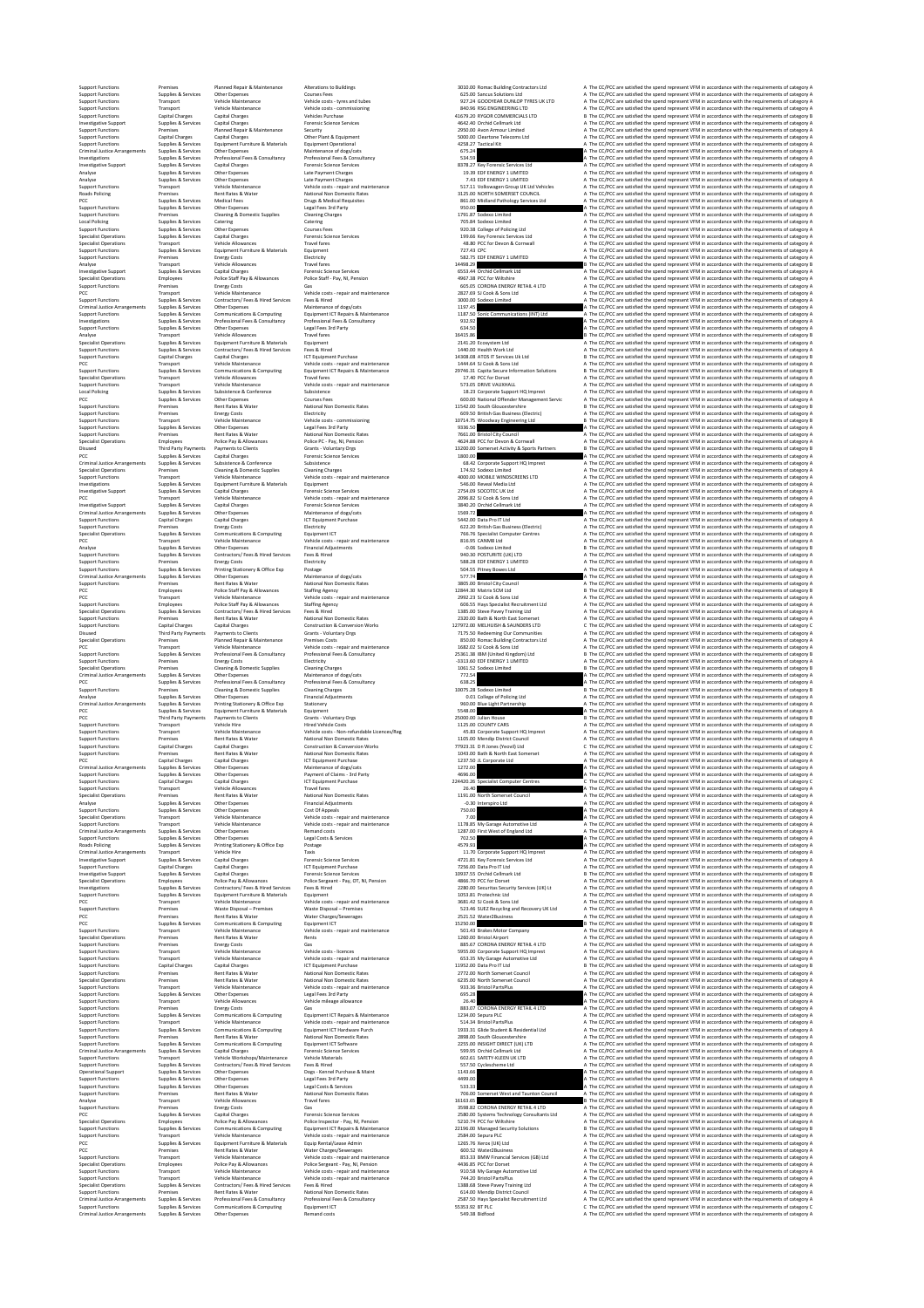Support Functions Premises Planned Repair & Maintenance Alterations to Buildings 3010.00 Romac Building Contractors Ltd A The CC/PCC are satisfied the spend represent VFM in accordance with the requirements of category A Support Functions Supplies & Services Other Expenses Courses Fees 625.00 Sancus Solutions Ltd A The CC/PCC are satisfied the spend represent VFM in accordance with the requirements of category A Support Functions Transport Vehicle Maintenance Vehicle costs ‐ tyres and tubes 927.24 GOODYEAR DUNLOP TYRES UK LTD A The CC/PCC are satisfied the spend represent VFM in accordance with the requirements of category A Support Functions Transport Vehicle Maintenance Vehicle costs ‐ commissioning 840.96 RSG ENGINEERING LTD A The CC/PCC are satisfied the spend represent VFM in accordance with the requirements of category A Support Functions Capital Charges Capital Charges Vehicles Purchase 41679.20 RYGOR COMMERCIALS LTD B The CC/PCC are satisfied the spend represent VFM in accordance with the requirements of category B Investigative Support Supplies & Services Capital Charges Forensic Science Services 4642.40 Orchid Cellmark Ltd A The CC/PCC are satisfied the spend represent VFM in accordance with the requirements of category A Support Functions Premises Planned Repair & Maintenance Security 2950.00 Avon Armour Limited A The CC/PCC are satisfied the spend represent VFM in accordance with the requirements of category A Support Functions Capital Charges Capital Charges Other Plant & Equipment 5000.00 Cleartone Telecoms Ltd A The CC/PCC are satisfied the spend represent VFM in accordance with the requirements of category A Support Functions Supplies & Services Equipment Furniture & Materials Equipment Operational 4258.27 Tactical Kit A The CC/PCC are satisfied the spend represent VFM in accordance with the requirements of category A Criminal Justice Arrangements Supplies & Services Other Expenses Maintenance of dogs/cats 675.24 A The CC/PCC are satisfied the spend represent VFM in accordance with the requirements of category A Investigations Supplies & Services Professional Fees & Consultancy Professional Fees & Consultancy 534.59 A The CC/PCC are satisfied the spend represent VFM in accordance with the requirements of category A Investigative Support Supplies & Services Capital Charges Forensic Science Services 8378.27 Key Forensic Services Ltd A The CC/PCC are satisfied the spend represent VFM in accordance with the requirements of category A Analyse Supplies & Services Other Expenses Late Payment Charges 19.39 EDF ENERGY 1 LIMITED A The CC/PCC are satisfied the spend represent VFM in accordance with the requirements of category A Analyse Supplies & Services Other Expenses Late Payment Charges 7.43 EDF ENERGY 1 LIMITED A The CC/PCC are satisfied the spend represent VFM in accordance with the requirements of category A Support Functions Transport Vehicle Maintenance Vehicle costs ‐ repair and maintenance 517.11 Volkswagen Group UK Ltd Vehicles A The CC/PCC are satisfied the spend represent VFM in accordance with the requirements of category A Roads Policing Premises Rent Rates & Water National Non Domestic Rates 3125.00 NORTH SOMERSET COUNCIL A The CC/PCC are satisfied the spend represent VFM in accordance with the requirements of category A PCC Supplies & Services Medical Fees Drugs & Medical Requisites 861.00 Midland Pathology Services Ltd A The CC/PCC are satisfied the spend represent VFM in accordance with the requirements of category A Support Functions Supplies & Services Other Expenses Legal Fees 3rd Party 950.00 A The CC/PCC are satisfied the spend represent VFM in accordance with the requirements of category A Support Functions Premises Cleaning & Domestic Supplies Cleaning Charges 1791.87 Sodexo Limited A The CC/PCC are satisfied the spend represent VFM in accordance with the requirements of category A Local Policing Supplies & Services Catering Catering 705.84 Sodexo Limited A The CC/PCC are satisfied the spend represent VFM in accordance with the requirements of category A Support Functions Supplies & Services Other Expenses Courses Fees 920.38 College of Policing Ltd A The CC/PCC are satisfied the spend represent VFM in accordance with the requirements of category A Specialist Operations Supplies & Services Capital Charges Forensic Science Services 199.66 Key Forensic Services Ltd A The CC/PCC are satisfied the spend represent VFM in accordance with the requirements of category A Specialist Operations Transport Vehicle Allowances Travel fares 48.80 PCC for Devon & Cornwall A The CC/PCC are satisfied the spend represent VFM in accordance with the requirements of category A Support Functions Supplies & Services Equipment Furniture & Materials Equipment 727.43 CPC A The CC/PCC are satisfied the spend represent VFM in accordance with the requirements of category A Support Functions Premises Energy Costs Electricity 582.75 EDF ENERGY 1 LIMITED A The CC/PCC are satisfied the spend represent VFM in accordance with the requirements of category A Analyse Transport Vehicle Allowances Travel fares 14498.29 B The CC/PCC are satisfied the spend represent VFM in accordance with the requirements of category B Investigative Support Supplies & Services Capital Charges Forensic Science Services 6553.44 Orchid Cellmark Ltd A The CC/PCC are satisfied the spend represent VFM in accordance with the requirements of category A Specialist Operations Employees Police Staff Pay & Allowances Police Staff ‐ Pay, NI, Pension 4967.38 PCC for Wiltshire A The CC/PCC are satisfied the spend represent VFM in accordance with the requirements of category A Support Functions Premises Energy Costs Gas 605.05 CORONA ENERGY RETAIL 4 LTD A The CC/PCC are satisfied the spend represent VFM in accordance with the requirements of category A PCC Transport Vehicle Maintenance Vehicle costs ‐ repair and maintenance 2827.69 SJ Cook & Sons Ltd A The CC/PCC are satisfied the spend represent VFM in accordance with the requirements of category A Support Functions Supplies & Services Contractors/ Fees & Hired Services Fees & Hired 3000.00 Sodexo Limited A The CC/PCC are satisfied the spend represent VFM in accordance with the requirements of category A Criminal Justice Arrangements Supplies & Services Other Expenses Maintenance of dogs/cats 1197.45 A The CC/PCC are satisfied the spend represent VFM in accordance with the requirements of category A Support Functions Supplies & Services Communications & Computing Equipment ICT Repairs & Maintenance 1187.50 Sonic Communications (INT) Ltd A The CC/PCC are satisfied the spend represent VFM in accordance with the requirements of category A Investigations Supplies & Services Professional Fees & Consultancy Professional Fees & Consultancy 932.92 A The CC/PCC are satisfied the spend represent VFM in accordance with the requirements of category A Support Functions Supplies & Services Other Expenses Legal Fees 3rd Party 634.50 A The CC/PCC are satisfied the spend represent VFM in accordance with the requirements of category A Analyse Transport Vehicle Allowances Travel fares 16415.86 B The CC/PCC are satisfied the spend represent VFM in accordance with the requirements of category B Specialist Operations Supplies & Services Equipment Furniture & Materials Equipment 2141.20 Ecosystem Ltd A The CC/PCC are satisfied the spend represent VFM in accordance with the requirements of category A Support Functions Supplies & Services Contractors/ Fees & Hired Services Fees & Hired 1440.00 Health Work Ltd A The CC/PCC are satisfied the spend represent VFM in accordance with the requirements of category A Support Functions Capital Charges Capital Charges ICT Equipment Purchase 14308.08 ATOS IT Services Uk Ltd B The CC/PCC are satisfied the spend represent VFM in accordance with the requirements of category B PCC Transport Vehicle Maintenance Vehicle costs ‐ repair and maintenance 1444.64 SJ Cook & Sons Ltd A The CC/PCC are satisfied the spend represent VFM in accordance with the requirements of category A Support Functions Supplies & Services Communications & Computing Equipment ICT Repairs & Maintenance 29746.31 Capita Secure Information Solutions B The CC/PCC are satisfied the spend represent VFM in accordance with the requirements of category B Specialist Operations Transport Vehicle Allowances Travel fares 17.40 PCC for Dorset A The CC/PCC are satisfied the spend represent VFM in accordance with the requirements of category A Support Functions Transport Vehicle Maintenance Vehicle costs ‐ repair and maintenance 573.05 DRIVE VAUXHALL A The CC/PCC are satisfied the spend represent VFM in accordance with the requirements of category A Local Policing Supplies & Services Subsistence & Conference Subsistence 18.23 Corporate Support HQ Imprest A The CC/PCC are satisfied the spend represent VFM in accordance with the requirements of category A PCC Supplies & Services Other Expenses Courses Fees 600.00 National Offender Management Servic A The CC/PCC are satisfied the spend represent VFM in accordance with the requirements of category A Support Functions Premises Rent Rates & Water National Non Domestic Rates 11542.00 South Gloucestershire B The CC/PCC are satisfied the spend represent VFM in accordance with the requirements of category B Support Functions Premises Energy Costs Electricity 609.50 British Gas Business (Electric) A The CC/PCC are satisfied the spend represent VFM in accordance with the requirements of category A Support Functions Transport Vehicle Maintenance Vehicle costs ‐ commissioning 10714.75 Woodway Engineering Ltd B The CC/PCC are satisfied the spend represent VFM in accordance with the requirements of category B Support Functions Supplies & Services Other Expenses Legal Fees 3rd Party 9336.50 A The CC/PCC are satisfied the spend represent VFM in accordance with the requirements of category A Support Functions Premises Rent Rates & Water National Non Domestic Rates 7661.00 Bristol City Council A The CC/PCC are satisfied the spend represent VFM in accordance with the requirements of category A Specialist Operations Employees Police Pay & Allowances Police PC ‐ Pay, NI, Pension 4624.88 PCC for Devon & Cornwall A The CC/PCC are satisfied the spend represent VFM in accordance with the requirements of category A Disused Third Party Payments Payments to Clients Grants ‐ Voluntary Orgs 13200.00 Somerset Activity & Sports Partners B The CC/PCC are satisfied the spend represent VFM in accordance with the requirements of category B PCC Supplies & Services Capital Charges Forensic Science Services 1800.00 A The CC/PCC are satisfied the spend represent VFM in accordance with the requirements of category A Criminal Justice Arrangements Supplies & Services Subsistence & Conference Subsistence 68.42 Corporate Support HQ Imprest A The CC/PCC are satisfied the spend represent VFM in accordance with the requirements of category A Specialist Operations Premises Cleaning & Domestic Supplies Cleaning Charges 174.92 Sodexo Limited A The CC/PCC are satisfied the spend represent VFM in accordance with the requirements of category A Support Functions Transport Vehicle Maintenance Vehicle costs ‐ repair and maintenance 4000.00 MOBILE WINDSCREENS LTD A The CC/PCC are satisfied the spend represent VFM in accordance with the requirements of category A Investigations Supplies & Services Equipment Furniture & Materials Equipment 546.00 Reveal Media Ltd A The CC/PCC are satisfied the spend represent VFM in accordance with the requirements of category A Investigative Support Supplies & Services Capital Charges Forensic Science Services 2754.09 SOCOTEC UK Ltd A The CC/PCC are satisfied the spend represent VFM in accordance with the requirements of category A PCC Transport Vehicle Maintenance Vehicle costs ‐ repair and maintenance 2096.82 SJ Cook & Sons Ltd A The CC/PCC are satisfied the spend represent VFM in accordance with the requirements of category A Investigative Support Supplies & Services Capital Charges Forensic Science Services 3840.20 Orchid Cellmark Ltd A The CC/PCC are satisfied the spend represent VFM in accordance with the requirements of category A Criminal Justice Arrangements Supplies & Services Other Expenses Maintenance of dogs/cats 1569.72 A The CC/PCC are satisfied the spend represent VFM in accordance with the requirements of category A Support Functions Capital Charges Capital Charges ICT Equipment Purchase 5442.00 Data Pro IT Ltd A The CC/PCC are satisfied the spend represent VFM in accordance with the requirements of category A Support Functions Premises Energy Costs Electricity 622.20 British Gas Business (Electric) A The CC/PCC are satisfied the spend represent VFM in accordance with the requirements of category A Specialist Operations Supplies & Services Communications & Computing Equipment ICT 766.76 Specialist Computer Centres A The CC/PCC are satisfied the spend represent VFM in accordance with the requirements of category A PCC Transport Vehicle Maintenance Vehicle costs ‐ repair and maintenance 816.95 CANM8 Ltd A The CC/PCC are satisfied the spend represent VFM in accordance with the requirements of category A Analyse Supplies & Services Other Expenses Financial Adjustments ‐0.06 Sodexo Limited B The CC/PCC are satisfied the spend represent VFM in accordance with the requirements of category B Support Functions Supplies & Services Contractors/ Fees & Hired Services Fees & Hired 940.30 POSTURITE (UK) LTD A The CC/PCC are satisfied the spend represent VFM in accordance with the requirements of category A Support Functions Premises Energy Costs Electricity 588.28 EDF ENERGY 1 LIMITED A The CC/PCC are satisfied the spend represent VFM in accordance with the requirements of category A Support Functions Supplies & Services Printing Stationery & Office Exp Postage 504.55 Pitney Bowes Ltd A The CC/PCC are satisfied the spend represent VFM in accordance with the requirements of category A Criminal Justice Arrangements Supplies & Services Other Expenses Maintenance of dogs/cats 577.74 A The CC/PCC are satisfied the spend represent VFM in accordance with the requirements of category A Support Functions Premises Rent Rates & Water National Non Domestic Rates 3805.00 Bristol City Council A The CC/PCC are satisfied the spend represent VFM in accordance with the requirements of category A PCC Employees Police Staff Pay & Allowances Staffing Agency 12844.30 Matrix SCM Ltd B The CC/PCC are satisfied the spend represent VFM in accordance with the requirements of category B PCC Transport Vehicle Maintenance Vehicle costs ‐ repair and maintenance 2992.23 SJ Cook & Sons Ltd A The CC/PCC are satisfied the spend represent VFM in accordance with the requirements of category A Support Functions Employees Police Staff Pay & Allowances Staffing Agency 606.55 Hays Specialist Recruitment Ltd A The CC/PCC are satisfied the spend represent VFM in accordance with the requirements of category A Specialist Operations Supplies & Services Contractors/ Fees & Hired Services Fees & Hired 1385.00 Steve Pavey Training Ltd A The CC/PCC are satisfied the spend represent VFM in accordance with the requirements of category A Support Functions Premises Rent Rates & Water National Non Domestic Rates 2320.00 Bath & North East Somerset A The CC/PCC are satisfied the spend represent VFM in accordance with the requirements of category A Support Functions Capital Charges Capital Charges Construction & Conversion Works 127972.00 MELHUISH & SAUNDERS LTD C The CC/PCC are satisfied the spend represent VFM in accordance with the requirements of category C Disused Third Party Payments Payments to Clients Grants ‐ Voluntary Orgs 7175.50 Redeeming Our Communities A The CC/PCC are satisfied the spend represent VFM in accordance with the requirements of category A Specialist Operations Premises Planned Repair & Maintenance Premises Costs 850.00 Romac Building Contractors Ltd A The CC/PCC are satisfied the spend represent VFM in accordance with the requirements of category A PCC Transport Vehicle Maintenance Vehicle costs ‐ repair and maintenance 1682.02 SJ Cook & Sons Ltd A The CC/PCC are satisfied the spend represent VFM in accordance with the requirements of category A Support Functions Supplies & Services Professional Fees & Consultancy Professional Fees & Consultancy 25361.38 IBM (United Kingdom) Ltd B The CC/PCC are satisfied the spend represent VFM in accordance with the requirements of category B Support Functions Premises Energy Costs Electricity ‐3313.60 EDF ENERGY 1 LIMITED A The CC/PCC are satisfied the spend represent VFM in accordance with the requirements of category A Specialist Operations Premises Cleaning & Domestic Supplies Cleaning Charges 1061.52 Sodexo Limited B The CC/PCC are satisfied the spend represent VFM in accordance with the requirements of category B Criminal Justice Arrangements Supplies & Services Other Expenses Maintenance of dogs/cats 772.54 A The CC/PCC are satisfied the spend represent VFM in accordance with the requirements of category A PCC Supplies & Services Professional Fees & Consultancy Professional Fees & Consultancy 638.25 A The CC/PCC are satisfied the spend represent VFM in accordance with the requirements of category A Support Functions Premises Cleaning & Domestic Supplies Cleaning Charges 10075.28 Sodexo Limited B The CC/PCC are satisfied the spend represent VFM in accordance with the requirements of category B Analyse Supplies & Services Other Expenses Financial Adjustments 0.01 College of Policing Ltd A The CC/PCC are satisfied the spend represent VFM in accordance with the requirements of category A Criminal Justice Arrangements Supplies & Services Printing Stationery & Office Exp Stationery 960.00 Blue Light Partnership A The CC/PCC are satisfied the spend represent VFM in accordance with the requirements of category A PCC Supplies & Services Equipment Furniture & Materials Equipment 5548.00 A The CC/PCC are satisfied the spend represent VFM in accordance with the requirements of category A PCC Third Party Payments Payments to Clients Grants ‐ Voluntary Orgs 25000.00 Julian House B The CC/PCC are satisfied the spend represent VFM in accordance with the requirements of category B Support Functions Transport Vehicle Hire Hired Vehicle Costs 1125.00 COUNTY CARS A The CC/PCC are satisfied the spend represent VFM in accordance with the requirements of category A Support Functions Transport Vehicle Maintenance Vehicle costs ‐ Non‐refundable Licences/Reg 45.83 Corporate Support HQ Imprest A The CC/PCC are satisfied the spend represent VFM in accordance with the requirements of category A Support Functions Premises Rent Rates & Water National Non Domestic Rates 1105.00 Mendip District Council A The CC/PCC are satisfied the spend represent VFM in accordance with the requirements of category A Support Functions Capital Charges Capital Charges Construction & Conversion Works 77923.31 D R Jones (Yeovil) Ltd C The CC/PCC are satisfied the spend represent VFM in accordance with the requirements of category C Support Functions Premises Rent Rates & Water National Non Domestic Rates 1043.00 Bath & North East Somerset A The CC/PCC are satisfied the spend represent VFM in accordance with the requirements of category A PCC Capital Charges Capital Charges ICT Equipment Purchase 1237.50 JL Corporate Ltd A The CC/PCC are satisfied the spend represent VFM in accordance with the requirements of category A Criminal Justice Arrangements Supplies & Services Other Expenses Maintenance of dogs/cats 1272.00 A The CC/PCC are satisfied the spend represent VFM in accordance with the requirements of category A Support Functions Supplies & Services Other Expenses Payment of Claims ‐ 3rd Party 4696.00 A The CC/PCC are satisfied the spend represent VFM in accordance with the requirements of category A Support Functions Capital Charges Capital Charges ICT Equipment Purchase 224420.26 Specialist Computer Centres C The CC/PCC are satisfied the spend represent VFM in accordance with the requirements of category C Support Functions Transport Vehicle Allowances Travel fares 26.40 A The CC/PCC are satisfied the spend represent VFM in accordance with the requirements of category A Specialist Operations Premises Rent Rates & Water National Non Domestic Rates 1191.00 North Somerset Council A The CC/PCC are satisfied the spend represent VFM in accordance with the requirements of category A Analyse Supplies & Services Other Expenses Financial Adjustments ‐0.30 Interspiro Ltd A The CC/PCC are satisfied the spend represent VFM in accordance with the requirements of category A Support Functions Supplies & Services Other Expenses Cost Of Appeals 750.00 A The CC/PCC are satisfied the spend represent VFM in accordance with the requirements of category A Specialist Operations Transport Vehicle Maintenance Vehicle costs ‐ repair and maintenance 7.00 A The CC/PCC are satisfied the spend represent VFM in accordance with the requirements of category A Support Functions Transport Vehicle Maintenance Vehicle costs ‐ repair and maintenance 1178.85 My Garage Automotive Ltd A The CC/PCC are satisfied the spend represent VFM in accordance with the requirements of category A Criminal Justice Arrangements Supplies & Services Other Expenses Remand costs 1287.00 First West of England Ltd A The CC/PCC are satisfied the spend represent VFM in accordance with the requirements of category A Support Functions Supplies & Services Other Expenses Legal Costs & Services 702.50 A The CC/PCC are satisfied the spend represent VFM in accordance with the requirements of category A Roads Policing Supplies & Services Printing Stationery & Office Exp Postage 4579.93 A The CC/PCC are satisfied the spend represent VFM in accordance with the requirements of category A Criminal Justice Arrangements Transport Vehicle Hire Taxis 11.70 Corporate Support HQ Imprest A The CC/PCC are satisfied the spend represent VFM in accordance with the requirements of category A Investigative Support Supplies & Services Capital Charges Forensic Science Services 4721.81 Key Forensic Services Ltd A The CC/PCC are satisfied the spend represent VFM in accordance with the requirements of category A Support Functions Capital Charges Capital Charges ICT Equipment Purchase 7256.00 Data Pro IT Ltd A The CC/PCC are satisfied the spend represent VFM in accordance with the requirements of category A Investigative Support Supplies & Services Capital Charges Forensic Science Services 10937.55 Orchid Cellmark Ltd B The CC/PCC are satisfied the spend represent VFM in accordance with the requirements of category B Specialist Operations Employees Police Pay & Allowances Police Sergeant ‐ Pay, OT, NI, Pension 4866.70 PCC for Dorset A The CC/PCC are satisfied the spend represent VFM in accordance with the requirements of category A Investigations Supplies & Services Contractors/ Fees & Hired Services Fees & Hired 2280.00 Securitas Security Services (UK) Lt A The CC/PCC are satisfied the spend represent VFM in accordance with the requirements of category A Support Functions Supplies & Services Equipment Furniture & Materials Equipment 1053.81 Protechnic Ltd A The CC/PCC are satisfied the spend represent VFM in accordance with the requirements of category A PCC Transport Vehicle Maintenance Vehicle costs ‐ repair and maintenance 3681.42 SJ Cook & Sons Ltd A The CC/PCC are satisfied the spend represent VFM in accordance with the requirements of category A Support Functions Premises Waste Disposal – Premises Waste Disposal – Premises 523.46 SUEZ Recycling and Recovery UK Ltd A The CC/PCC are satisfied the spend represent VFM in accordance with the requirements of category A PCC Premises Rent Rates & Water Water Charges/Sewerages 2521.52 Water2Business A The CC/PCC are satisfied the spend represent VFM in accordance with the requirements of category A PCC Supplies & Services Communications & Computing Equipment ICT 15250.00 B The CC/PCC are satisfied the spend represent VFM in accordance with the requirements of category B Support Functions Transport Vehicle Maintenance Vehicle costs ‐ repair and maintenance 501.43 Brakes Motor Company A The CC/PCC are satisfied the spend represent VFM in accordance with the requirements of category A Specialist Operations Premises Rent Rates & Water Rents 1260.00 Bristol Airport A The CC/PCC are satisfied the spend represent VFM in accordance with the requirements of category A Support Functions Premises Energy Costs Gas 885.67 CORONA ENERGY RETAIL 4 LTD A The CC/PCC are satisfied the spend represent VFM in accordance with the requirements of category A Support Functions Transport Vehicle Maintenance Vehicle costs ‐ licences 5955.00 Corporate Support HQ Imprest A The CC/PCC are satisfied the spend represent VFM in accordance with the requirements of category A Support Functions Transport Vehicle Maintenance Vehicle costs ‐ repair and maintenance 653.35 My Garage Automotive Ltd A The CC/PCC are satisfied the spend represent VFM in accordance with the requirements of category A Support Functions Capital Charges Capital Charges ICT Equipment Purchase 11952.00 Data Pro IT Ltd B The CC/PCC are satisfied the spend represent VFM in accordance with the requirements of category B Support Functions Premises Rent Rates & Water National Non Domestic Rates 2772.00 North Somerset Council A The CC/PCC are satisfied the spend represent VFM in accordance with the requirements of category A Specialist Operations Premises Rent Rates & Water National Non Domestic Rates 6235.00 North Somerset Council A The CC/PCC are satisfied the spend represent VFM in accordance with the requirements of category A Support Functions Transport Vehicle Maintenance Vehicle costs ‐ repair and maintenance 933.36 Bristol PartsPlus A The CC/PCC are satisfied the spend represent VFM in accordance with the requirements of category A Support Functions Supplies & Services Other Expenses Legal Fees 3rd Party 695.28 A The CC/PCC are satisfied the spend represent VFM in accordance with the requirements of category A Support Functions Transport Vehicle Allowances Vehicle mileage allowance 26.40 A The CC/PCC are satisfied the spend represent VFM in accordance with the requirements of category A Support Functions Premises Energy Costs Gas 883.07 CORONA ENERGY RETAIL 4 LTD A The CC/PCC are satisfied the spend represent VFM in accordance with the requirements of category A Support Functions Supplies & Services Communications & Computing Equipment ICT Repairs & Maintenance 1234.00 Sepura PLC A The CC/PCC are satisfied the spend represent VFM in accordance with the requirements of category A Support Functions Transport Vehicle Maintenance Vehicle costs ‐ repair and maintenance 514.34 Bristol PartsPlus A The CC/PCC are satisfied the spend represent VFM in accordance with the requirements of category A Support Functions Supplies & Services Communications & Computing Equipment ICT Hardware Purch 1933.31 Glide Student & Residential Ltd A The CC/PCC are satisfied the spend represent VFM in accordance with the requirements of category A Support Functions Premises Rent Rates & Water National Non Domestic Rates 2898.00 South Gloucestershire A The CC/PCC are satisfied the spend represent VFM in accordance with the requirements of category A Support Functions Supplies & Services Communications & Computing Equipment ICT Software 2255.00 INSIGHT DIRECT (UK) LTD A The CC/PCC are satisfied the spend represent VFM in accordance with the requirements of category A Criminal Justice Arrangements Supplies & Services Capital Charges Forensic Science Services 599.95 Orchid Cellmark Ltd A The CC/PCC are satisfied the spend represent VFM in accordance with the requirements of category A Support Functions Transport Vehicle Workshops/Maintenance Vehicle Materials 602.61 SAFETY‐KLEEN UK LTD A The CC/PCC are satisfied the spend represent VFM in accordance with the requirements of category A Support Functions Supplies & Services Contractors/ Fees & Hired Services Fees & Hired 557.50 Cyclescheme Ltd A The CC/PCC are satisfied the spend represent VFM in accordance with the requirements of category A Operational Support Supplies & Services Other Expenses Dogs ‐ Kennel Purchase & Maint 1143.66 A The CC/PCC are satisfied the spend represent VFM in accordance with the requirements of category A Support Functions Supplies & Services Other Expenses Legal Fees 3rd Party 4499.00 A The CC/PCC are satisfied the spend represent VFM in accordance with the requirements of category A Support Functions Supplies & Services Other Expenses Legal Costs & Services 533.33 A The CC/PCC are satisfied the spend represent VFM in accordance with the requirements of category A Support Functions Premises Rent Rates & Water National Non Domestic Rates 706.00 Somerset West and Taunton Council A The CC/PCC are satisfied the spend represent VFM in accordance with the requirements of category A Analyse Transport Vehicle Allowances Travel fares 16163.65 B The CC/PCC are satisfied the spend represent VFM in accordance with the requirements of category B Support Functions Premises Energy Costs Gas 3598.82 CORONA ENERGY RETAIL 4 LTD A The CC/PCC are satisfied the spend represent VFM in accordance with the requirements of category A PCC Supplies & Services Capital Charges Forensic Science Services 2580.00 Systems Technology Consultants Ltd A The CC/PCC are satisfied the spend represent VFM in accordance with the requirements of category A Specialist Operations Employees Police Pay & Allowances Police Inspector ‐ Pay, NI, Pension 5210.74 PCC for Wiltshire A The CC/PCC are satisfied the spend represent VFM in accordance with the requirements of category A Support Functions Supplies & Services Communications & Computing Equipment ICT Repairs & Maintenance 22196.00 Managed Security Solutions B The CC/PCC are satisfied the spend represent VFM in accordance with the requirements of category B Support Functions Transport Vehicle Maintenance Vehicle costs ‐ repair and maintenance 2584.00 Sepura PLC A The CC/PCC are satisfied the spend represent VFM in accordance with the requirements of category A PCC Supplies & Services Equipment Furniture & Materials Equip Rental/Lease Admin 1265.76 Xerox (UK) Ltd A The CC/PCC are satisfied the spend represent VFM in accordance with the requirements of category A PCC Premises Rent Rates & Water Water Charges/Sewerages 600.52 Water2Business A The CC/PCC are satisfied the spend represent VFM in accordance with the requirements of category A Support Functions Transport Vehicle Maintenance Vehicle costs ‐ repair and maintenance 853.33 BMW Financial Services (GB) Ltd A The CC/PCC are satisfied the spend represent VFM in accordance with the requirements of category A Specialist Operations Employees Police Pay & Allowances Police Sergeant ‐ Pay, NI, Pension 4436.85 PCC for Dorset A The CC/PCC are satisfied the spend represent VFM in accordance with the requirements of category A Support Functions Transport Vehicle Maintenance Vehicle costs ‐ repair and maintenance 910.58 My Garage Automotive Ltd A The CC/PCC are satisfied the spend represent VFM in accordance with the requirements of category A Support Functions Transport Vehicle Maintenance Vehicle costs ‐ repair and maintenance 744.20 Bristol PartsPlus A The CC/PCC are satisfied the spend represent VFM in accordance with the requirements of category A Specialist Operations Supplies & Services Contractors/ Fees & Hired Services Fees & Hired 1388.68 Steve Pavey Training Ltd A The CC/PCC are satisfied the spend represent VFM in accordance with the requirements of category A Support Functions Premises Rent Rates & Water National Non Domestic Rates 614.00 Mendip District Council A The CC/PCC are satisfied the spend represent VFM in accordance with the requirements of category A Criminal Justice Arangements Supplies Services Professional Professional Professional Professional Professional Data and Data and Data and Data and Data and Data and Data and Data and Data and Data and Data and Data and Da